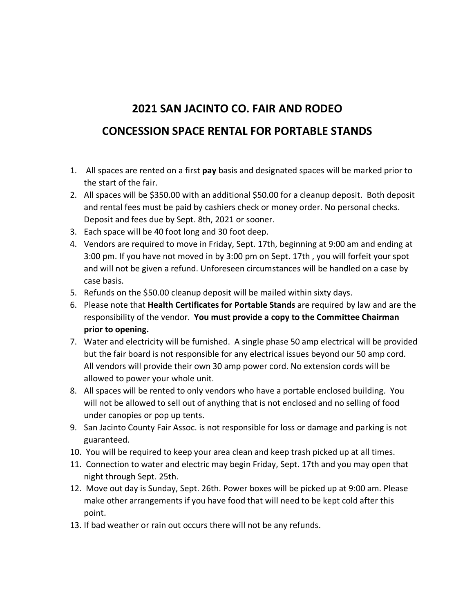## **2021 SAN JACINTO CO. FAIR AND RODEO CONCESSION SPACE RENTAL FOR PORTABLE STANDS**

- 1. All spaces are rented on a first **pay** basis and designated spaces will be marked prior to the start of the fair.
- 2. All spaces will be \$350.00 with an additional \$50.00 for a cleanup deposit. Both deposit and rental fees must be paid by cashiers check or money order. No personal checks. Deposit and fees due by Sept. 8th, 2021 or sooner.
- 3. Each space will be 40 foot long and 30 foot deep.
- 4. Vendors are required to move in Friday, Sept. 17th, beginning at 9:00 am and ending at 3:00 pm. If you have not moved in by 3:00 pm on Sept. 17th , you will forfeit your spot and will not be given a refund. Unforeseen circumstances will be handled on a case by case basis.
- 5. Refunds on the \$50.00 cleanup deposit will be mailed within sixty days.
- 6. Please note that **Health Certificates for Portable Stands** are required by law and are the responsibility of the vendor. **You must provide a copy to the Committee Chairman prior to opening.**
- 7. Water and electricity will be furnished. A single phase 50 amp electrical will be provided but the fair board is not responsible for any electrical issues beyond our 50 amp cord. All vendors will provide their own 30 amp power cord. No extension cords will be allowed to power your whole unit.
- 8. All spaces will be rented to only vendors who have a portable enclosed building. You will not be allowed to sell out of anything that is not enclosed and no selling of food under canopies or pop up tents.
- 9. San Jacinto County Fair Assoc. is not responsible for loss or damage and parking is not guaranteed.
- 10. You will be required to keep your area clean and keep trash picked up at all times.
- 11. Connection to water and electric may begin Friday, Sept. 17th and you may open that night through Sept. 25th.
- 12. Move out day is Sunday, Sept. 26th. Power boxes will be picked up at 9:00 am. Please make other arrangements if you have food that will need to be kept cold after this point.
- 13. If bad weather or rain out occurs there will not be any refunds.